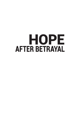## HOPE **AFTER BETRAYAL**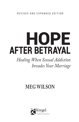# AFTER BETRAYAL HOPE

## *Healing When Sexual Addiction Invades Your Marriage*

## **MEG WILSON**

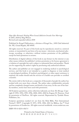*Hope After Betrayal: Healing When Sexual Addiction Invades Your Marriage* © 2007, 2018 by Meg Wilson Revised and expanded edition 2018

Published by Kregel Publications, a division of Kregel Inc., 2450 Oak Industrial Dr. NE, Grand Rapids, MI 49505.

All rights reserved. No part of this book may be reproduced, stored in a retrieval system, or transmitted in any form or by any means—electronic, mechanical, photocopy, recording, or otherwise—without written permission of the publisher, except for brief quotations in reviews.

Distribution of digital editions of this book in any format via the internet or any other means without the publisher's written permission or by license agreement is a violation of copyright law and is subject to substantial fines and penalties. Thank you for supporting the author's rights by purchasing only authorized editions.

The author and publisher are not engaged in rendering medical or psychological services, and this book is not intended as a guide to diagnose or treat medical or psychological problems. If medical, psychological, or other expert assistance is required, the reader should seek the services of a health-care provider or certified counselor.

The stories told in this book are a composite of thousands of people the author has worked with over more than a decade. The author takes confidentiality seriously and has completely changed names and details of any story. In the case of her family members, stories have been used with permission.

All Scripture quotations, unless otherwise indicated, are from *The Message*. Copyright © 1993, 1994, 1995, 1996, 2000, 2001, 2002 by Eugene H. Peterson. Used by permission of NavPress. All rights reserved. Represented by Tyndale House Publishers, Inc.

Scripture quotations marked niv are from the Holy Bible, New International Version®, NIV®. Copyright © 1973, 1978, 1984, 2011 by Biblica, Inc.™ Used by permission of Zondervan. All rights reserved worldwide. www.zondervan.com

ISBN 978-0-8254-4567-5

Printed in the United States of America 18 19 20 21 22 23 24 25 26 27 / 5 4 3 2 1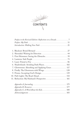

| Preface to the Revised Edition: Reflections on a Decade 7 |
|-----------------------------------------------------------|
|                                                           |
|                                                           |
|                                                           |
| 2. Shrouded: Waiting for Direction  44                    |
|                                                           |
|                                                           |
|                                                           |
| 6. Shadowlands: Avoiding Dark Places 102                  |
| 7. Glowworms: Absorbing and Applying Grace 117            |
| 8. Firefly: The Glowworm with Wings 128                   |
|                                                           |
|                                                           |
| 11. Refraction: My Husband's Perspective  161             |
|                                                           |
|                                                           |
|                                                           |
|                                                           |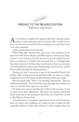### WILL PREFACE TO THE REVISED EDITION *Refl ections on a Decade*

As I sit down to update the original *Hope After Betrayal* manu-<br>Secript, so many questions tug at my heart: *Has it really been ten*<br>Nears since the hook came out? Do I have anything near to say? Can I syrite script, so many questions tug at my heart: *Has it really been ten years since the book came out? Do I have anything new to say? Can I write to the same standard?*

I take writing about God seriously.

When *Hope After Betrayal* first came out, I was invited to do an interview with Dennis Rainey and Bob Lepine at *Family Life Today*. I knew it was an honor, but I'm not one to get all worked up over fame or notoriety, so I didn't read too much into it. I thought that, like other interviews I'd had, they would want to focus on our story of sexual addiction and betrayal. Refreshingly, the focus was on how God worked through the healing journey.

During my visit, I was given a tour of the beautiful Family Life facility. After seeing several award-laden halls, we came to a large, unadorned room full of busy people working at their gray desks.

My tour guide said, "This is our theology department." Then he added nonchalantly, "Your book had to go through them before you were ever invited to be a guest on our show."

It's hard, even now, to describe how I felt in that moment. It was so much more than affirmation. My heart was utterly settled that God's hand was in the writing of this book, and I had been as true to His Word as I knew how.

A decade later, to accurately represent the heart of God remains both my prayer and confidence as I again set pen to paper for this expanded edition of *Hope After Betrayal*. I won't change what was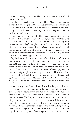written in the original story, but I hope to add to the story as the Lord has added to my life.

At the end of each chapter I have added a "Perspective" section to include new concepts and lessons I've learned with ten more years of experience. I trust God will continue to be revealed in my everchanging path. I trust that even my painfully slow growth will be evident as I look back.

I also want every woman to find her voice spoken on these pages. I have added a fourth woman, Dee Dee, who adds another facet and voice to the stories. As I have walked the path of recovery with women of color, they've taught me that there are distinct cultural differences on their journeys. But pain is not a respecter of race, and the feelings and fallout are the same even though some details vary. I pray even more women will feel represented and free to grab hold of the universal healing power of God.

My husband's full disclosure came in March 2001, and it's been more than ten years since I wrote about my journey from hurt to hope. All the glory goes to God, for there were many times I wandered outside of His will. Every time, He patiently waited for my return. I never tire of His healing embrace, life-changing conviction, and daily supply of amazing grace. It is for Him that I live, breathe, and worship. It is for every woman wounded and abandoned by the person who promised to love and cherish her that I write. It is for you that I try to be as honest as I can about my own weaknesses and flaws.

One of the greatest lessons I have learned is the power of transparency. When we are facedown in the mud, we don't need someone to point out how dirty we are. We need someone who has been there and who can show us their torn and tattered clothes as proof of their experience. That's right, there is a time and a place to air your dirty laundry. If you do your work, then you too will be a resource to another hurting woman, and the Lord will one day invite you to air your past. When that moment comes and your heart is pounding in your chest, everything in you will want to keep a lid on those old rags. Remember the power of knowing someone who has been there.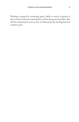Nothing is gained by remaining quiet, while so much is gained as the Lord uses what was intended for evil for the good of another. She will be ministered to even as you are blessed by the healing bond of common pain.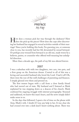

I Jow does a woman pick her way through the darkness? How<br>does she pick up the pieces? How does she cope after discover-<br>ing her husband has engaged in sexual activities outside of their mardoes she pick up the pieces? How does she cope after discovering her husband has engaged in sexual activities outside of their marriage? Since you're holding this book, I'm guessing you, or someone close to you, has recently had her life devastated by sexual betrayal. Or perhaps your wound from betrayal is an old one, made worse by a believer, pastor, or counselor who offered well-meaning but unhelpful direction.

More than a decade ago, the path of my life was altered forever.

#### 2007

I was a suburban wife with two daughters, two cars, two pets, and a firm grasp on the American dream. Central to all of this was a loving and successful husband who loved the Lord. I had it all! Oh, there were the run-of-the-mill challenges of parenting and finances. I simply glossed over them and pressed on.

The first tremor began with a call from a close family friend who had moved out of state. My husband and I listened as Mark explained he was stepping down as a deacon of his church. Mark confessed his ongoing struggle with internet pornography. Stunned and saddened, we knew this man's heart, and the news simply didn't make sense to us.

In the days that followed, I spent a lot of time on the phone with Amy, Mark's wife. I doubt if I was any help to her. It was clear she had crossed over into a dark land I knew nothing about. There was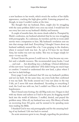a new hardness to her words, which struck the surface of her idyllic appearance, cracking the high-gloss polish. Listening prepared me, though, in ways I couldn't realize at the time.

The thought that my husband, Dave, might also be struggling with the same problem didn't even cross my mind. I would have bet our every last cent on my husband's fidelity and honesty.

A couple of months later, the storm clouds rolled in. Prompted by Mark's confession, my husband admitted that he too was struggling with pornography. As a salesman, he traveled, and the in-room adult movies were a temptation to him. My husband's revelation sent me into that strange dark land. Everything I thought I knew about my husband suddenly seemed like a lie. I was groping in the shadows, where it seemed truth was lost. As sad as I'd been for my friend Amy, her reality was now my reality. This was no longer simply *her* story—it was *my* life.

At least I knew the person I could turn to. Amy became my comfort and a valuable resource. She recommended many books. I read . . . and read . . . but absorbing was a challenge. Clinical definitions of this new term "sexual addiction" (SA) didn't bring me much hope or comfort. I wanted to understand this new land, a place where I was lost in dark feelings.

Every page I read confirmed that SA was my husband's problem and not my fault. At the same time, my every body flaw confirmed it was my fault. The books assured me I was not alone in the way I felt, yet I never felt more abandoned. According to everything I read, the Lord was with me, but I couldn't see Him in the dark of hopelessness.

Then I found some footing; the old Meg took over. I began to deal with my shame and sadness as I had in the past, by dragging myself back into the world of delusion. I stuffed, denied, and prayed the problem away. After all, my husband was sorry. His library of books on recovering from SA grew, and he seemed to be spending more time reading the Bible.

I thanked God it was *only* pornography and for the amazing healing of my husband. Life was back to normal.

An acute awareness grew in me, though, regarding the prevalence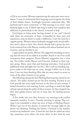#### Preface and 13

of SA in our society. Women experiencing the same pain were everywhere. I came to understand their language and recognize the hints of their hidden shame. Seemingly innocuous statements like, "My husband and I aren't connected," or "My marriage is in crisis," were flashing lights to me. It didn't take long to realize how insidious this addiction is, particularly in the church. I wanted to help.

God began to bring more hurting women to me, and I shared with them my testimony of hope. Compelled by their pain and experience, and my desire to make a difference, I saw the need for a support group. Women whose husbands struggle with sexual addiction need a place to heal. Our church already had a group for men. God connected me with Sharon, another wife whose husband was in recovery, and we decided to act.

I approached our pastor, Martin. He suggested attending an existing class for wives of sex addicts at another church to see if we could incorporate their program. Pastor Martin's suggestion was a wise one. For twelve weeks, Sharon and I became students in their support group. There, more than just learning took place. God poured additional truth and light into our lives. The Lord was building supports under us for what was to come, though I didn't see it at the time. I was too busy thanking Him that my story wasn't as severe as some of the other women's in my group.

The following spring the first Healing Hearts group started at our church. Ten ladies showed up for the first meeting. Excited to see God provide the same rapid recovery in the lives of each woman, I looked forward to each meeting. It was a privilege to watch the light of hope spread along the paths of these women. As they stepped into their first golden beams and out of some lies, the healing process began.

A few weeks into our class, however, my marriage took another traumatic nosedive. It was a Tuesday morning in spring. That evening I was scheduled to share my story of hope at Healing Hearts. When I got out of the shower, I noticed the message light on the phone was blinking. Pushing the button, I listened to the familiar sound of my husband's voice. I loved the fact that he called me every day, sometimes more often—far more often, in fact, than he once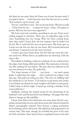did when he was away. Since he'd been out of town the past week, I was glad to listen . . . until it became clear that this was not a routine "Just wanted to say hi, honey" call.

"It's me," said Dave's voice. "I'm on my way home. We have to talk . . . I'll be there by two . . . so please be home—alone. I'll explain in person. My boss has been very supportive."

My heart went into overdrive, pounding in my ears. Every nerve ending snapped to attention. There was an unfamiliar edge to his voice. Something was very wrong. Why was Dave coming home three days early? I knew from the last sentence that he hadn't lost his job. But I could tell this was not good news. My brain spun as I went over the last two days he was home. He'd seemed distracted and distant. I assumed it was the stress of travel.

I tried to get some chores done, but all I did was count the minutes until two. When Dave's car pulled into our driveway, I felt the urge to flee.

He walked in, holding a softcover notebook. It was curled in from the edges, from being rolled and unrolled. The expression on his face was like nothing I'd seen before. The pain that was reflected in his eyes was about to be mine. He spoke first.

"I'm home because of Carl . . . you know . . . my men's group leader. I called him last night . . . and I confessed my relapse a few days ago. The guilt was eating me alive." He went on, fiddling with the notebook as I sat frozen. "Carl told me to get home and confess to you before you shared our story tonight to the ladies in your group. I didn't sleep at all last night. I stayed up, writing a timeline of my sexual addiction."

Suddenly, nothing else existed except for the drumming of my husband's voice and the journal he was holding—the pages that were about to change my life indelibly.

I knew from Dave's first disclosure two years prior that his compulsion started when he was only eleven years old, when he found his father's pornographic material. Porn became a coping mechanism for his feelings of low self-worth. His addiction had progressed to its current state. This time, though, he included the parts of his story he'd left out before. Dave had not been completely honest in his first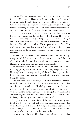#### Preface and 15

disclosure. For over seventeen years his being unfaithful had been inconceivable to me, and because he feared that I'd leave, he omitted important facts. Though his desire to be free and healed was sincere, his conscious exclusion of pertinent information had left just enough for the Enemy to get a handhold. Satan waited for the right moment, grabbed it, and dragged Dave even deeper into the addiction.

This time, my husband had hit bottom. He described how, after his last sexual encounter, he felt that God had turned His back on him. Loneliness had been his lifelong companion, but this feeling of being estranged from God was darker still. Dave sensed that he'd be dead if he didn't come clean. His desperation to be free of his addiction was so great that he was willing to lose our nineteen-year marriage. He confessed every betrayal over the course of our lives together.

As he referred to his notebook, determined now not to omit anything, life as I defined it vanished. Reality no longer existed. Dreams died and were buried out of reach. All that remained was one large black hole with a huge question mark in the middle.

As he shared further details of his sexual addiction and continuing struggle, my heart was broken again, only deeper this time. Nothing I learned through reading all those SA books prepared me for that moment. Had the wound been physical instead of emotional, I might be dead.

The first time Dave confessed, he left out a nonphysical encounter with a woman. Even though there had been no touching, that omission stalled any chance of his being healed. This time he admitted that since his last confession he'd had physical contact with a woman. And this time I was unable to see straight or even remember any prior progress. The only thoughts I had were what a trusting fool I'd been, and that my husband had been unfaithful.

The pain grew unbearable. If one of the women in my group were to tell me that her husband had just made such a confession, what would I have said to her? I needed every tool and reinforcement God could supply, but I felt it was all out of reach. This hurt felt too big . . . too painful . . . too hopeless for any remedy.

Dazed at first, I didn't see God; I could barely breathe. I remember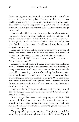feeling nothing except my legs shaking beneath me. It was as if they were no longer a part of my body. I sensed the shivering, but was unable to control it. All I could do was sit and listen, and shudder under unthinkable images unfolding before me. My mind was numb, unable to register pain at that level—God's wonderful design called *shock*.

One thought did filter through to me, though: *Don't make any rash decisions*. I somehow recognized that I needed to wait until God spoke. I could only hope He was still there . . . hope He was real. Looking back, I realize, of course, God was there and had guided what I said, but in that moment I could see only fear, darkness, and complete hopelessness.

Dave and I were still talking when one of our daughters arrived home from school. Had it really been two hours since Dave had walked in the door with his notebook? It felt like two minutes.

Dave panicked. "What do you want me to do?" he murmured. "Should I go to a hotel?"

Amazingly void of emotion, I sensed God setting the guidelines for me. I heard myself speak in a normal tone, like I was listening to a stranger read a list. "You'll stay in the house until I'm sure what to do . . . and hear something . . . think of something. Just because you're here today doesn't mean you'll be here two days from now. We'll try to keep things as normal as possible for the girls. We'll sleep in the same room, but there will be no physical contact between us. We'll be like roommates, with neither of us in the room when the other is dressing or showering."

That's all I knew. Then my mind reengaged as a tidal wave of disbelief hit again. *How did we get here? Haven't I done all the right things? What a fool I was.*

Not wanting to face the women in our group that night, I called my trusted friend Sharon to cancel. She grieved for me but convinced me to go. Later, I called and backed out again. Finally, she said she'd pick me up and was on her way to get me. She knew I needed the support.

The group didn't get the story of hope I'd originally planned. Instead, they got their worst nightmare laid out before them. My head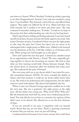#### Preface and 17

was down as I shared. When I finished, I looked up slowly, expecting to see their disappointment. Instead, I saw only tear-streaked, caring faces. I was humbled. They listened, cried with me, and offered their support. That night was difficult for all of us. Many had their own fresh wounds, but I needed to be there and share mine. The only comment I remember making was, "It stinks." I could see no hope at that point, but their understanding was salve for my hurting heart.

Had I stayed home, hiding and feeling ashamed, I may have found myself stuck there, because at home the battle raged in my mind. Like many Christian women, I wondered if there was just the right prayer to take away the pain, but I knew the injury was too severe to be sidestepped with a single prayer or Bible verse. Added to the betrayal was the disclosure of the lies. I felt like a failure as a Christian and a wife. What wrong turn had brought me to this place?

Dave and I spent the next day apart. I cleared my calendar except for an appointment with Donna, a friend. We were originally getting together to discuss her becoming my mentor. She had no idea what our first meeting would hold. Donna listened, though. Then she shared about an emotional affair her husband had many years ago. She understood the pain of betrayal.

She even went with me to my doctor while I was tested for sexually transmitted diseases (STDs). I'd never sounded the depths of shame until that moment. I could see my doctor didn't know what to say. She tried to be professional and compassionate, but she didn't want too much information. My shame had splashed onto her.

When I came out, Donna's loving expression enabled me to take the next step. She was a godsend—the right person at the right time. All the while I was crying out, "Why, God? Why? Why me?" But she listened and cried with me, never once condemning my husband. Not only did she not see him as a monster, her opinion of him didn't seem to be altered. She allowed me to see the first shimmer of hope.

If you see yourself in my pain, I empathize with you beyond words. Know that you are not alone. There's a growing community of women like you and me, most are just still hiding.

I understand how fortunate I was to have women who could share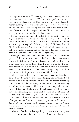this nightmare with me. The majority of women, however, feel as if there's no one they can talk to. Whether or not you're sure of your husband's sexual addiction at this point, you have a loving heavenly Father standing by, ready to listen and help. He's already led you to find this resource. Keep reading and don't stay in the place of darkness. Determine to find the path to hope. I'll be honest; this is not an easy glide over a sunny slope. It's hard work.

Saying that my husband and I sailed right into healing would be a gross overstatement. We still had to live through and process all the emotions and the very real pain. I had to move from my initial shock and go through all of the stages of grief. Grabbing hold of God's truths, one at a time, moved me inch by inch toward stronger faith and health. I reached out first to books, looking for the one that would give me hope. I didn't find it right away.

Giving my pain, fears, and emotions to God started the healing process. Still, the steps weren't exactly clean or the results instantaneous. I cried out to Him often, because many pieces of my pain were harder to let go of than others. But as He ministered to my need every time I picked up His Word, our relationship deepened. I could have missed Him had I not been willing to step out in faith even when my feelings caused me to doubt God's existence.

All the theories that I knew about the character and attributes of God now became reality. Acknowledging, for instance, that I needed Him to be my strength and shield was an important turning point for me. For the first time, I spoke prayers without worrying about how they sounded. I didn't try to clean them up before speaking to Christ. I let Him have everything, because God already knew my pain. Verbalizing those deep hurts became an act of trust and worship. My first prayer was, in fact, not at all eloquent. The words were honest and went something like this: *Okay, God, I know You didn't plan this, but it doesn't take You by surprise, either. You can somehow use this for good even though I can't see how right now. All I know is it stinks. I'm choosing to trust You, knowing I need Your help because I can't do this alone.*

Almost before I'd finished speaking the words, something was revealed to my spirit, like a veil had been lifted, and I knew I'd be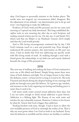#### Preface and 19

okay. God began to personally minister to the broken places. The results were not magical; my circumstances didn't disappear. But the adjustment of my attitude—my determination just to let go and trust—was beginning to make the difference.

Evidence of God's work and His personal care for me came each morning as I opened my daily devotional. This long-established discipline took on new meaning day after day as each Scripture and reading seemed written just for me. On day one, I read Isaiah 54:5, which said that my Maker is my Husband. Genesis 22:14 simply said that the Lord would provide.

And so His loving encouragement continued day by day. I felt God's intimate touch in a new and powerful way. Even though I understood He answers prayers, this intervention on His part was more. I had no doubt that God was addressing my specific needs with His loving words of truth. As walking through a trial with a friend grows the relationship, so my faith rose and soared, sheltered beneath the wings of His personal care.

#### 2018

This new way of walking and seeking the heart of God continued to serve me as life ebbed and flowed. Simply living meant there were times of both darkness and light. I'm no longer frozen in fear when the darkness comes—at least not for as long as I used to be. The tools I learned and shared during the deepest healing of our marriage still guide me through every pain life delivers. As I grow in age, wisdom, and nearness to the Lord, regaining my footing and finding peace is easier than it used to be.

Life issues rarely center around sexual addiction these days, but I am not naive enough to think sexual addiction is gone forever. Addiction is a lifelong fight. The Enemy of our souls waits and watches for any vulnerable moment. However, I refuse to live frozen by what-ifs. I know that God is bigger than addiction.

Finding freedom took time, though. I had to learn to allow the ever-available presence of God to outweigh the reality of sin. That is why my trust grows when I see God at work in my husband. Every time his behavior is unselfish and his choices are healthy, it confirms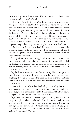his spiritual growth. I remain confident of the truth as long as my eyes are on God in my husband.

I liken it to living in Southern California, knowing any day a catastrophic earthquake could hit. People who are new to the area tend to panic at the first tremor, while those of us who have lived there for years can go on without great concern. Those native to Southern California don't ignore the reality. They simply build buildings to withstand the shaking and have a plan should a significant earthquake come. We also learn not to panic at every little rumble. However, after two or three seconds of shaking, if the tremor continues or gets stronger, then we get into a safe place as healthy fear kicks in.

I lived near the San Andreas Fault for over fifteen years, and only twice did I seek shelter in a doorway. I lived in freedom, not fear. I was able to ignore—or quickly assess—hundreds of minor quakes as the nonevents they were.

Living with someone who struggles with addiction is the same. At first, I was on high alert and aware of every minor tremor. If I called my husband and he didn't answer, panic set in. Slowly, I learned to go to God with my fears. I also developed a plan—and saw my husband create his own as well.

My husband continues to this day to employ his relapse prevention plan when he travels. I learned to trust the Lord to reveal to me anything that was hidden and the Lord has been faithful. All these years later, I can count on one hand the number of times my fears were warranted.

I know for those of you just beginning the healing journey, or with husbands who refuse to change, this may sound too good to be true. But just take that first step of faith. Let the Lord lead you down *your* path. He will illuminate it one step at a time.

If you feel like you are at the end of your options, then you are in the perfect place to begin walking by faith. He has so much to show you through this process. And the work you do here will carry you through the rest of your life, whatever comes. Best of all, you get to experience firsthand that God is true to His Word, faithful to His kids, and lavish with His love.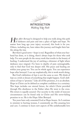

H*ope After Betrayal* is designed to help you walk along this path of darkness and pain and into a place of light and hope. No matter how long ago your injury occurred, this book is for you. Others, including me, have taken this journey and fought their battles along the way.

But there's good news—hope is real. Regardless of what your husband has done, or is doing, there's always hope for those who seek help. I've seen people do the messy work that results in the beauty of healing. I understand the joy of catching a shimmer of light where darkness once reigned. I've been to depths of pain unimaginable, only to find that God was deeper still. His peace and healing are within your grasp too. You can be whole again. You can experience hope after betrayal. I can say emphatically, this is work worth doing.

But God's definition of *hope* is not the same as ours. We think of hope as a wish or dream of something that might happen. God's definition of *hope* is "promise." Like all of His promises, it is an absolute. Hope in Christ can be defined as complete confidence in a certainty. This hope includes our eternal future, for which Christ provided through His obedience to the Father when He went to the cross. His return is equally assured. Our security in the midst of insecure circumstances can be found only in Christ and His never-failing promises to us. He is the Hope After Betrayal.

Ten years have only cemented God as Hope- bearer. As I continue to minister to hurting women, I consistently see His amazing love and care. I continue to learn new aspects of His unfathomable love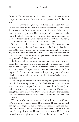for us. A "Perspective" section has been added at the end of each chapter to share many of the lessons I've gleaned over the last ten years.

The best way to recognize God's direction is to look for Him in His love letter to us. That is why each chapter ends with "Path Lights"—specific Bible verses that apply to the topic of the chapter. Some of these Scriptures will be new to you, others you may already know. In addition to guiding us to recognize God's direction, I've included these verses because once we learn about God's character, we will then recognize His qualities in other people.

Because this book takes you on a journey of self-exploration, you are asked to keep a journal (please see appendix A for further direction). After the "Path Lights" are some questions and suggestions to give you a place to jump off in your journaling. My only request is that you come to God with an open heart and put the greatest weight on God's Word and not mine.

But be warned: as you read, you may find some truths in these pages that you'd rather avoid. Every fiber of your being will cry out against the change needed to move forward. Read those parts over and over, though. Use your journal to write about what you're feeling, and don't move on until you're willing to apply that truth completely. Work through every word until the direction is clear for your next step.

There might be times you find yourself getting mad or wanting to balk. These feelings are okay. Tell God; He will listen. Wrestle with these new concepts through prayer and through your journaling or some other healthy outlet for expression. Process your thoughts no matter how raw. Don't bother to clean up the words for God. He has already seen your whole heart, and He still loves you completely.

Whether you're new at turning to God or have been a follower of Christ for many years, expect Him to reveal Himself as you read through these pages. He has not abandoned you. He is, in fact, calling you by name. You'll discover that our heavenly Father is more than able to guide you, and He wants you to know that He has much to teach you through your pain. The words He has placed in the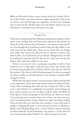#### Introduction 23

Bible are His words of love to you, written with you in mind. So listen to His truths, even those that are costly and painful. God wants to work in you and through you regardless of what your husband does or does not do. Decide whom you will follow, whose voice you will listen to, and whom you will serve every day.

#### *Perspective*

I have been working with the walking wounded long enough to know some of you reading this book have been injured in the church, by those of us who call ourselves Christians—even pastors and counselors. You thought they would have tools to help, but they didn't. I am truly sorry for the added pain. There are no words that can change this reality, but I pray you will give God a chance to restore your faith in Him. As for His kids, we are flawed. Though saved, we will be working on ourselves until the day we die. I pray you can one day forgive those who have added to your pain.

If this is not you, let it be a cautionary reminder to talk to God before you try to help others. Our job isn't to have the answers, but to always point people back to Christ, for He is the only one with all the answers. The church is full of broken people. It's why we accepted our Savior. Sadly, we all still operate in our weakness instead of His strength at times.

With that said, please know I am one woman, flawed and limited to my experiences. Your story may contain issues not addressed here. I may write something that rubs you the wrong way. That is why I am a firm believer in a multitude of counselors and reaching out for as many resources as you can find. Look for where the Word of God, Spirit of God, and people of God all line up. There is so much I have learned and so much I have yet to learn. So trust your gut, and if something I have written doesn't sit right, then keep seeking God and the tools you need for your situation. I pray this book is simply a stepping-off point on your personal journey to wholeness. Before every Healing Hope class, a class I lead for women betrayed by their husband's sexual brokenness, my prayer is, "Lord, don't let me wound already injured lambs!" It is also my prayer as I write.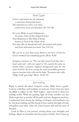#### *Path Lights*

Gop's a safe-house for the battered, a sanctuary during bad times. The moment you arrive, you relax; you're never sorry you knocked. (Ps. 9:9–10)

For your Maker is your bridegroom, his name, Gop-of-the-Angel-Armies! Your Redeemer is The Holy of Israel, known as God of the whole earth. You were like an abandoned wife, devastated with grief, and God welcomed you back. (Isa. 54:5–6)

We can be so sure that every detail in our lives of love for God is worked into something good. (Rom. 8:28)

Scripture reassures us, "No one who trusts God like this heart and soul—will ever regret it." It's exactly the same no matter what a person's religious background may be: the same God for all of us, acting the same incredibly generous way to everyone who calls out for help. "Everyone who calls, 'Help, God!' gets help." (Rom. 10:11–13)

#### *Journaling*

Begin to absorb the above Scripture truths. Make them a guide. Look at, underline, and meditate on each one. Every time you open the Bible to reflect on the "Path Lights," expect God to show you healing truths. With the guiding light of truth, travelers are less likely to get lost or wander off the path and into dangerous territory. I understand how strong the feelings of despair and loneliness can be. See Jesus holding out His hands in love, and let the light of truth strengthen your faith. After all, Christ knows full well the pain of betrayal.

Look to Him as you journal, writing about your thoughts and feelings. Begin to formulate that first prayer of faith. Don't clean up